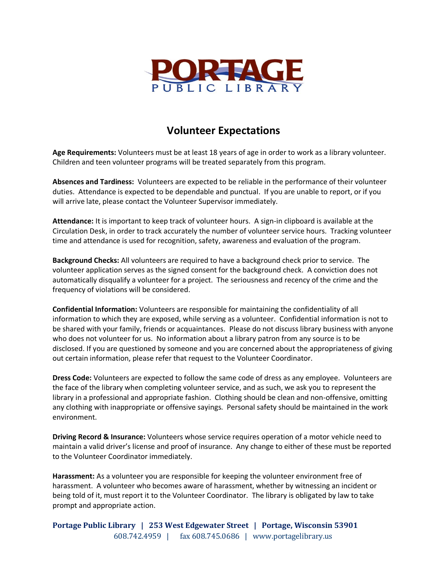

## **Volunteer Expectations**

**Age Requirements:** Volunteers must be at least 18 years of age in order to work as a library volunteer. Children and teen volunteer programs will be treated separately from this program.

**Absences and Tardiness:** Volunteers are expected to be reliable in the performance of their volunteer duties. Attendance is expected to be dependable and punctual. If you are unable to report, or if you will arrive late, please contact the Volunteer Supervisor immediately.

**Attendance:** It is important to keep track of volunteer hours. A sign-in clipboard is available at the Circulation Desk, in order to track accurately the number of volunteer service hours. Tracking volunteer time and attendance is used for recognition, safety, awareness and evaluation of the program.

**Background Checks:** All volunteers are required to have a background check prior to service. The volunteer application serves as the signed consent for the background check. A conviction does not automatically disqualify a volunteer for a project. The seriousness and recency of the crime and the frequency of violations will be considered.

**Confidential Information:** Volunteers are responsible for maintaining the confidentiality of all information to which they are exposed, while serving as a volunteer. Confidential information is not to be shared with your family, friends or acquaintances. Please do not discuss library business with anyone who does not volunteer for us. No information about a library patron from any source is to be disclosed. If you are questioned by someone and you are concerned about the appropriateness of giving out certain information, please refer that request to the Volunteer Coordinator.

**Dress Code:** Volunteers are expected to follow the same code of dress as any employee. Volunteers are the face of the library when completing volunteer service, and as such, we ask you to represent the library in a professional and appropriate fashion. Clothing should be clean and non-offensive, omitting any clothing with inappropriate or offensive sayings. Personal safety should be maintained in the work environment.

**Driving Record & Insurance:** Volunteers whose service requires operation of a motor vehicle need to maintain a valid driver's license and proof of insurance. Any change to either of these must be reported to the Volunteer Coordinator immediately.

**Harassment:** As a volunteer you are responsible for keeping the volunteer environment free of harassment. A volunteer who becomes aware of harassment, whether by witnessing an incident or being told of it, must report it to the Volunteer Coordinator. The library is obligated by law to take prompt and appropriate action.

**Portage Public Library | 253 West Edgewater Street | Portage, Wisconsin 53901** 608.742.4959 | fax 608.745.0686 | www.portagelibrary.us